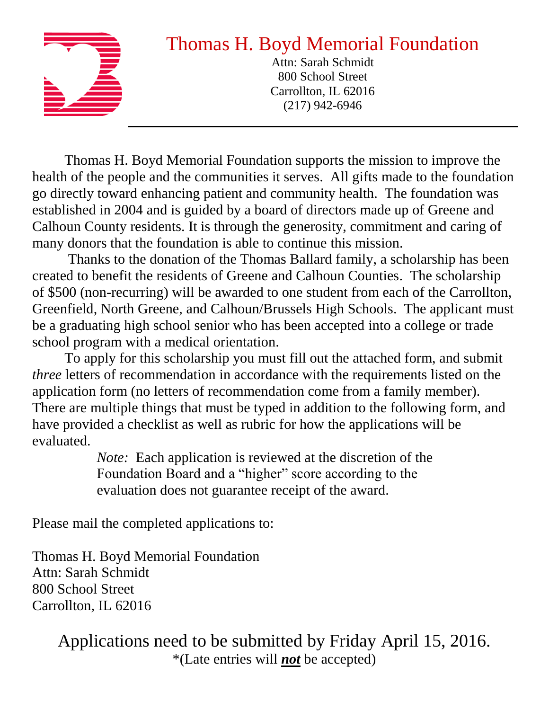| <b>Thomas H. Boyd Memorial Foundation</b> |
|-------------------------------------------|
| Attn: Sarah Schmidt                       |
| 800 School Street                         |
| Carrollton, IL 62016                      |
| $(217)$ 942-6946                          |
|                                           |

Thomas H. Boyd Memorial Foundation supports the mission to improve the health of the people and the communities it serves. All gifts made to the foundation go directly toward enhancing patient and community health. The foundation was established in 2004 and is guided by a board of directors made up of Greene and Calhoun County residents. It is through the generosity, commitment and caring of many donors that the foundation is able to continue this mission.

Thanks to the donation of the Thomas Ballard family, a scholarship has been created to benefit the residents of Greene and Calhoun Counties. The scholarship of \$500 (non-recurring) will be awarded to one student from each of the Carrollton, Greenfield, North Greene, and Calhoun/Brussels High Schools. The applicant must be a graduating high school senior who has been accepted into a college or trade school program with a medical orientation.

To apply for this scholarship you must fill out the attached form, and submit *three* letters of recommendation in accordance with the requirements listed on the application form (no letters of recommendation come from a family member). There are multiple things that must be typed in addition to the following form, and have provided a checklist as well as rubric for how the applications will be evaluated.

> *Note:* Each application is reviewed at the discretion of the Foundation Board and a "higher" score according to the evaluation does not guarantee receipt of the award.

Please mail the completed applications to:

Thomas H. Boyd Memorial Foundation Attn: Sarah Schmidt 800 School Street Carrollton, IL 62016

> Applications need to be submitted by Friday April 15, 2016. \*(Late entries will *not* be accepted)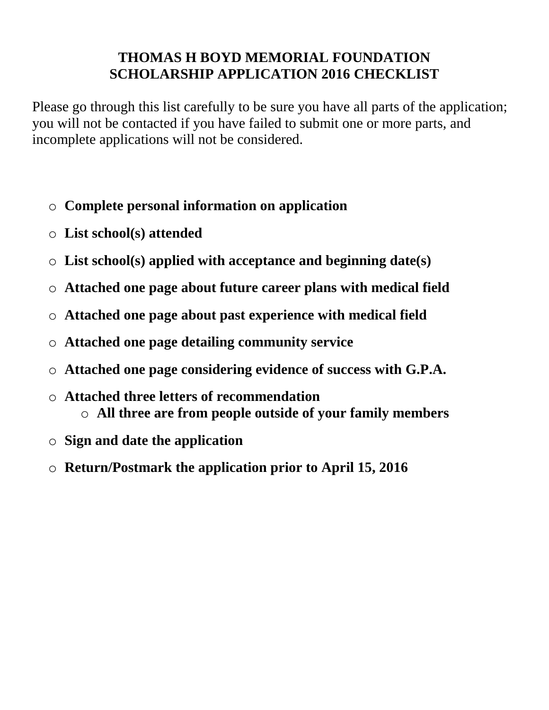## **THOMAS H BOYD MEMORIAL FOUNDATION SCHOLARSHIP APPLICATION 2016 CHECKLIST**

Please go through this list carefully to be sure you have all parts of the application; you will not be contacted if you have failed to submit one or more parts, and incomplete applications will not be considered.

- o **Complete personal information on application**
- o **List school(s) attended**
- o **List school(s) applied with acceptance and beginning date(s)**
- o **Attached one page about future career plans with medical field**
- o **Attached one page about past experience with medical field**
- o **Attached one page detailing community service**
- o **Attached one page considering evidence of success with G.P.A.**
- o **Attached three letters of recommendation** o **All three are from people outside of your family members**
- o **Sign and date the application**
- o **Return/Postmark the application prior to April 15, 2016**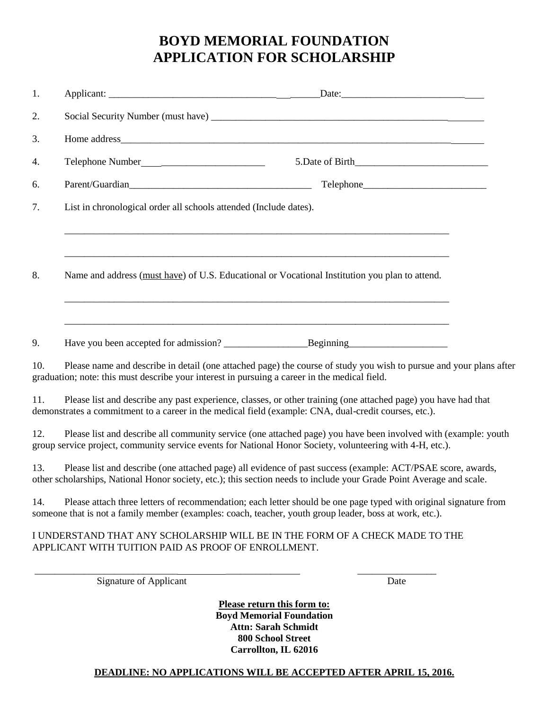## **BOYD MEMORIAL FOUNDATION APPLICATION FOR SCHOLARSHIP**

| 1.  |                                                                                               |                                                                                                                                                                                                                                     |  |
|-----|-----------------------------------------------------------------------------------------------|-------------------------------------------------------------------------------------------------------------------------------------------------------------------------------------------------------------------------------------|--|
| 2.  |                                                                                               |                                                                                                                                                                                                                                     |  |
| 3.  |                                                                                               |                                                                                                                                                                                                                                     |  |
| 4.  |                                                                                               |                                                                                                                                                                                                                                     |  |
| 6.  | Parent/Guardian<br><u>Parent/Guardian</u>                                                     |                                                                                                                                                                                                                                     |  |
| 7.  | List in chronological order all schools attended (Include dates).                             |                                                                                                                                                                                                                                     |  |
| 8.  |                                                                                               | <u> 1989 - Johann Stoff, deutscher Stoff, der Stoff, der Stoff, der Stoff, der Stoff, der Stoff, der Stoff, der S</u><br>Name and address (must have) of U.S. Educational or Vocational Institution you plan to attend.             |  |
| 9.  |                                                                                               |                                                                                                                                                                                                                                     |  |
| 10. | graduation; note: this must describe your interest in pursuing a career in the medical field. | Please name and describe in detail (one attached page) the course of study you wish to pursue and your plans after                                                                                                                  |  |
| 11. |                                                                                               | Please list and describe any past experience, classes, or other training (one attached page) you have had that<br>demonstrates a commitment to a career in the medical field (example: CNA, dual-credit courses, etc.).             |  |
| 12. |                                                                                               | Please list and describe all community service (one attached page) you have been involved with (example: youth<br>group service project, community service events for National Honor Society, volunteering with 4-H, etc.).         |  |
| 13. |                                                                                               | Please list and describe (one attached page) all evidence of past success (example: ACT/PSAE score, awards,<br>other scholarships, National Honor society, etc.); this section needs to include your Grade Point Average and scale. |  |
| 14. |                                                                                               | Please attach three letters of recommendation; each letter should be one page typed with original signature from<br>someone that is not a family member (examples: coach, teacher, youth group leader, boss at work, etc.).         |  |
|     | APPLICANT WITH TUITION PAID AS PROOF OF ENROLLMENT.                                           | I UNDERSTAND THAT ANY SCHOLARSHIP WILL BE IN THE FORM OF A CHECK MADE TO THE                                                                                                                                                        |  |
|     | <b>Signature of Applicant</b>                                                                 | Date                                                                                                                                                                                                                                |  |
|     |                                                                                               | <b>Please return this form to:</b>                                                                                                                                                                                                  |  |

**Boyd Memorial Foundation Attn: Sarah Schmidt 800 School Street Carrollton, IL 62016**

## **DEADLINE: NO APPLICATIONS WILL BE ACCEPTED AFTER APRIL 15, 2016.**